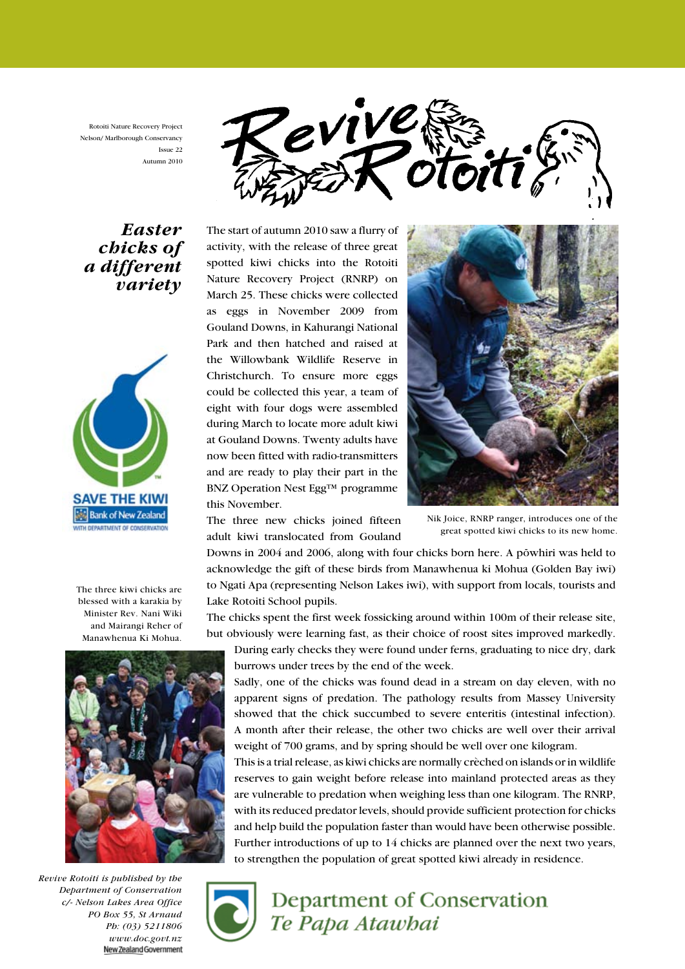Rotoiti Nature Recovery Project Nelson/ Marlborough Conservancy Issue 22 Autumn 2010



## Easter chicks of a different variety



The three kiwi chicks are blessed with a karakia by Minister Rev. Nani Wiki and Mairangi Reher of Manawhenua Ki Mohua.



Revive Rotoiti is published by the Department of Conservation c/- Nelson Lakes Area Office PO Box 55, St Arnaud Ph: (03) 5211806 www.doc.govt.nz<br>NewZealandGovernment

The start of autumn 2010 saw a flurry of activity, with the release of three great spotted kiwi chicks into the Rotoiti Nature Recovery Project (RNRP) on March 25. These chicks were collected as eggs in November 2009 from Gouland Downs, in Kahurangi National Park and then hatched and raised at the Willowbank Wildlife Reserve in Christchurch. To ensure more eggs could be collected this year, a team of eight with four dogs were assembled during March to locate more adult kiwi at Gouland Downs. Twenty adults have now been fitted with radio-transmitters and are ready to play their part in the BNZ Operation Nest Egg™ programme this November.

The three new chicks joined fifteen adult kiwi translocated from Gouland



Nik Joice, RNRP ranger, introduces one of the great spotted kiwi chicks to its new home.

Downs in 2004 and 2006, along with four chicks born here. A pöwhiri was held to acknowledge the gift of these birds from Manawhenua ki Mohua (Golden Bay iwi) to Ngati Apa (representing Nelson Lakes iwi), with support from locals, tourists and Lake Rotoiti School pupils.

The chicks spent the first week fossicking around within 100m of their release site, but obviously were learning fast, as their choice of roost sites improved markedly.

During early checks they were found under ferns, graduating to nice dry, dark burrows under trees by the end of the week.

Sadly, one of the chicks was found dead in a stream on day eleven, with no apparent signs of predation. The pathology results from Massey University showed that the chick succumbed to severe enteritis (intestinal infection). A month after their release, the other two chicks are well over their arrival weight of 700 grams, and by spring should be well over one kilogram.

This is a trial release, as kiwi chicks are normally crèched on islands or in wildlife reserves to gain weight before release into mainland protected areas as they are vulnerable to predation when weighing less than one kilogram. The RNRP, with its reduced predator levels, should provide sufficient protection for chicks and help build the population faster than would have been otherwise possible. Further introductions of up to 14 chicks are planned over the next two years, to strengthen the population of great spotted kiwi already in residence.



# Department of Conservation Te Papa Atawbai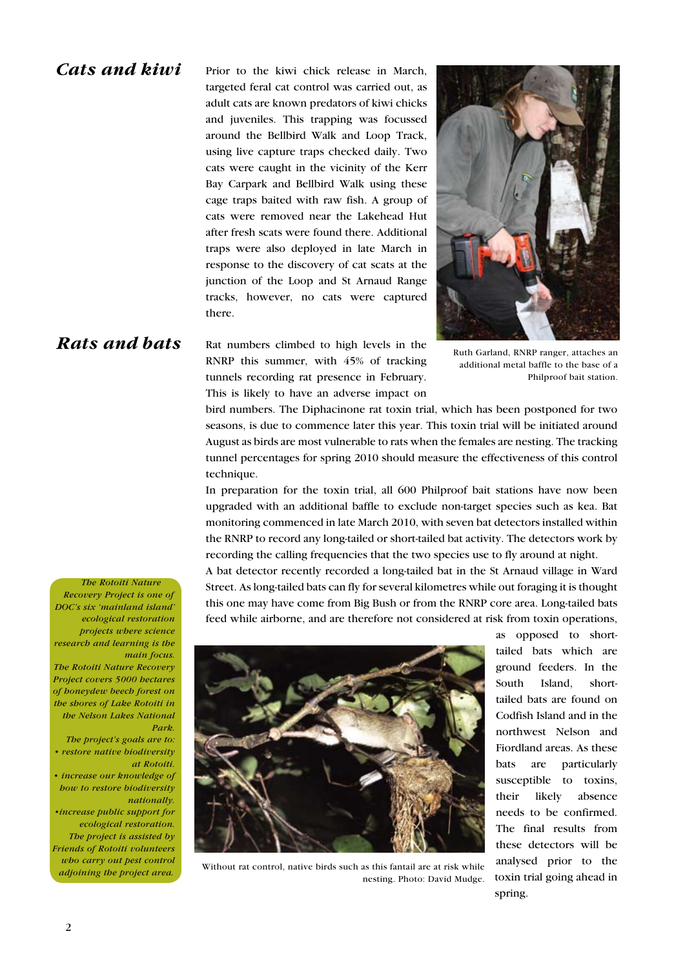#### Cats and kiwi

Prior to the kiwi chick release in March, targeted feral cat control was carried out, as adult cats are known predators of kiwi chicks and juveniles. This trapping was focussed around the Bellbird Walk and Loop Track, using live capture traps checked daily. Two cats were caught in the vicinity of the Kerr Bay Carpark and Bellbird Walk using these cage traps baited with raw fish. A group of cats were removed near the Lakehead Hut after fresh scats were found there. Additional traps were also deployed in late March in response to the discovery of cat scats at the junction of the Loop and St Arnaud Range tracks, however, no cats were captured there.



### Rats and bats

Rat numbers climbed to high levels in the RNRP this summer, with 45% of tracking tunnels recording rat presence in February. This is likely to have an adverse impact on

Ruth Garland, RNRP ranger, attaches an additional metal baffle to the base of a Philproof bait station.

bird numbers. The Diphacinone rat toxin trial, which has been postponed for two seasons, is due to commence later this year. This toxin trial will be initiated around August as birds are most vulnerable to rats when the females are nesting. The tracking tunnel percentages for spring 2010 should measure the effectiveness of this control technique.

In preparation for the toxin trial, all 600 Philproof bait stations have now been upgraded with an additional baffle to exclude non-target species such as kea. Bat monitoring commenced in late March 2010, with seven bat detectors installed within the RNRP to record any long-tailed or short-tailed bat activity. The detectors work by recording the calling frequencies that the two species use to fly around at night.

A bat detector recently recorded a long-tailed bat in the St Arnaud village in Ward Street. As long-tailed bats can fly for several kilometres while out foraging it is thought this one may have come from Big Bush or from the RNRP core area. Long-tailed bats feed while airborne, and are therefore not considered at risk from toxin operations,



Without rat control, native birds such as this fantail are at risk while nesting. Photo: David Mudge.

as opposed to shorttailed bats which are ground feeders. In the South Island, shorttailed bats are found on Codfish Island and in the northwest Nelson and Fiordland areas. As these bats are particularly susceptible to toxins, their likely absence needs to be confirmed. The final results from these detectors will be analysed prior to the toxin trial going ahead in spring.

The Rotoiti Nature Recovery Project is one of DOC's six 'mainland island' ecological restoration projects where science research and learning is the main focus. The Rotoiti Nature Recovery Project covers 5000 hectares of honeydew beech forest on the shores of Lake Rotoiti in the Nelson Lakes National Park. The project's goals are to:

• restore native biodiversity at Rotoiti.

• increase our knowledge of how to restore biodiversity nationally.

•increase public support for ecological restoration. The project is assisted by Friends of Rotoiti volunteers who carry out pest control adjoining the project area.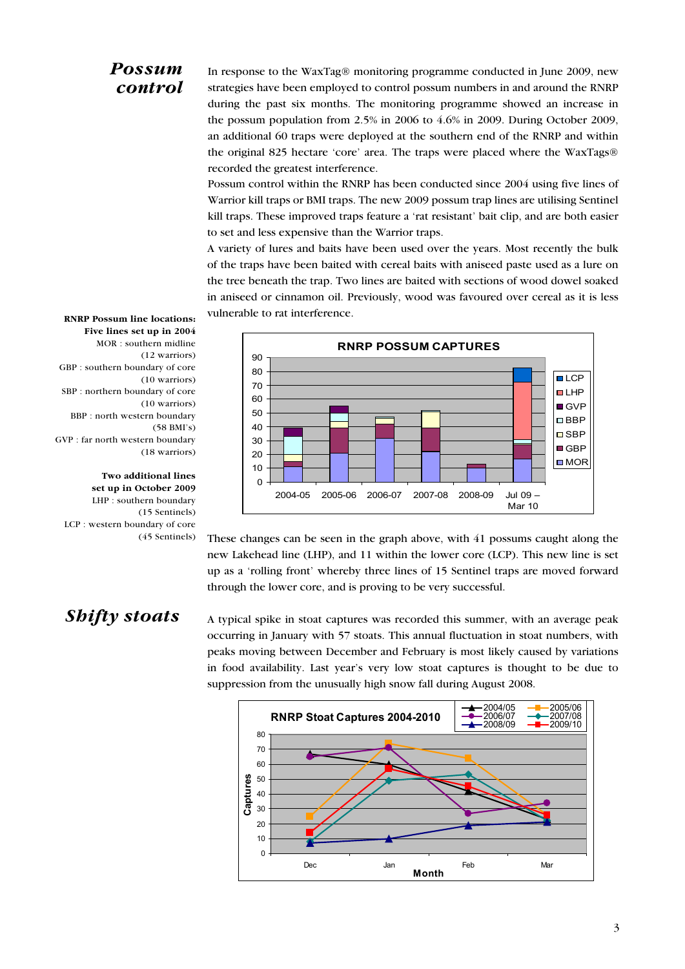## Possum control

In response to the WaxTag® monitoring programme conducted in June 2009, new strategies have been employed to control possum numbers in and around the RNRP during the past six months. The monitoring programme showed an increase in the possum population from 2.5% in 2006 to 4.6% in 2009. During October 2009, an additional 60 traps were deployed at the southern end of the RNRP and within the original 825 hectare 'core' area. The traps were placed where the WaxTags® recorded the greatest interference.

Possum control within the RNRP has been conducted since 2004 using five lines of Warrior kill traps or BMI traps. The new 2009 possum trap lines are utilising Sentinel kill traps. These improved traps feature a 'rat resistant' bait clip, and are both easier to set and less expensive than the Warrior traps.

A variety of lures and baits have been used over the years. Most recently the bulk of the traps have been baited with cereal baits with aniseed paste used as a lure on the tree beneath the trap. Two lines are baited with sections of wood dowel soaked in aniseed or cinnamon oil. Previously, wood was favoured over cereal as it is less vulnerable to rat interference.



RNRP Possum line locations: Five lines set up in 2004 MOR : southern midline (12 warriors) GBP : southern boundary of core (10 warriors) SBP : northern boundary of core (10 warriors) BBP : north western boundary (58 BMI's) GVP : far north western boundary (18 warriors)

Two additional lines set up in October 2009 LHP : southern boundary (15 Sentinels) LCP : western boundary of core (45 Sentinels)

These changes can be seen in the graph above, with 41 possums caught along the new Lakehead line (LHP), and 11 within the lower core (LCP). This new line is set up as a 'rolling front' whereby three lines of 15 Sentinel traps are moved forward through the lower core, and is proving to be very successful.

# Shifty stoats

A typical spike in stoat captures was recorded this summer, with an average peak occurring in January with 57 stoats. This annual fluctuation in stoat numbers, with peaks moving between December and February is most likely caused by variations in food availability. Last year's very low stoat captures is thought to be due to suppression from the unusually high snow fall during August 2008.